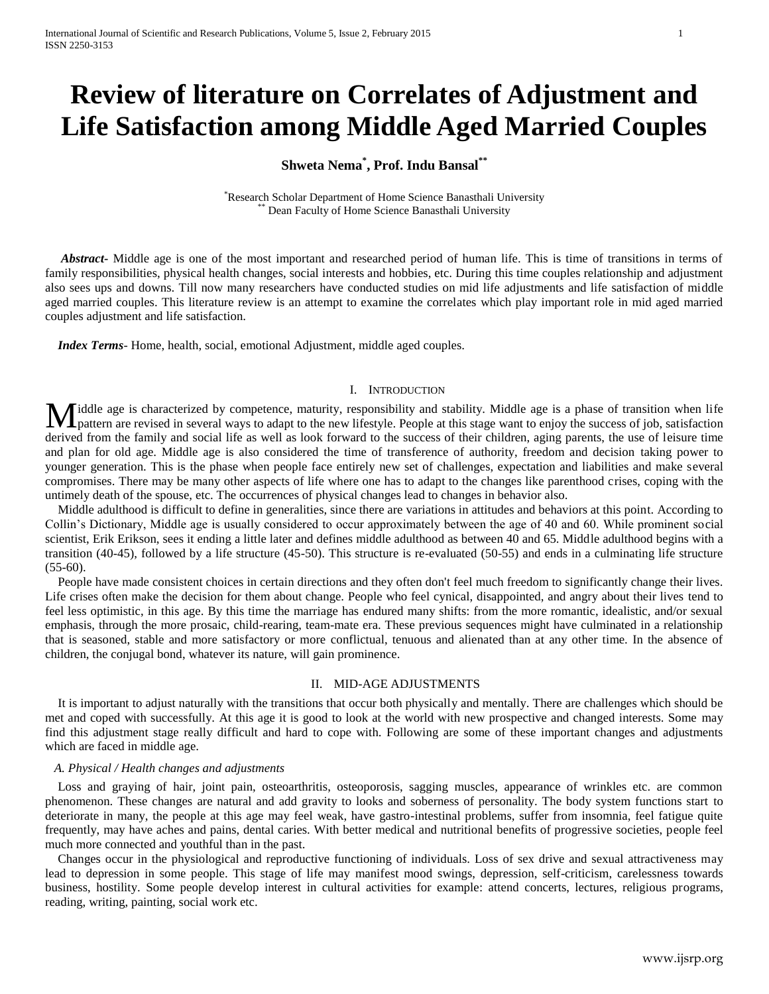# **Review of literature on Correlates of Adjustment and Life Satisfaction among Middle Aged Married Couples**

# **Shweta Nema\* , Prof. Indu Bansal\*\***

\*Research Scholar Department of Home Science Banasthali University Dean Faculty of Home Science Banasthali University

 *Abstract***-** Middle age is one of the most important and researched period of human life. This is time of transitions in terms of family responsibilities, physical health changes, social interests and hobbies, etc. During this time couples relationship and adjustment also sees ups and downs. Till now many researchers have conducted studies on mid life adjustments and life satisfaction of middle aged married couples. This literature review is an attempt to examine the correlates which play important role in mid aged married couples adjustment and life satisfaction.

 *Index Terms*- Home, health, social, emotional Adjustment, middle aged couples.

#### I. INTRODUCTION

iddle age is characterized by competence, maturity, responsibility and stability. Middle age is a phase of transition when life Middle age is characterized by competence, maturity, responsibility and stability. Middle age is a phase of transition when life pattern are revised in several ways to adapt to the new lifestyle. People at this stage want derived from the family and social life as well as look forward to the success of their children, aging parents, the use of leisure time and plan for old age. Middle age is also considered the time of transference of authority, freedom and decision taking power to younger generation. This is the phase when people face entirely new set of challenges, expectation and liabilities and make several compromises. There may be many other aspects of life where one has to adapt to the changes like parenthood crises, coping with the untimely death of the spouse, etc. The occurrences of physical changes lead to changes in behavior also.

 Middle adulthood is difficult to define in generalities, since there are variations in attitudes and behaviors at this point. According to Collin's Dictionary, Middle age is usually considered to occur approximately between the age of 40 and 60. While prominent social scientist, Erik Erikson, sees it ending a little later and defines middle adulthood as between 40 and 65. Middle adulthood begins with a transition (40-45), followed by a life structure (45-50). This structure is re-evaluated (50-55) and ends in a culminating life structure (55-60).

 People have made consistent choices in certain directions and they often don't feel much freedom to significantly change their lives. Life crises often make the decision for them about change. People who feel cynical, disappointed, and angry about their lives tend to feel less optimistic, in this age. By this time the marriage has endured many shifts: from the more romantic, idealistic, and/or sexual emphasis, through the more prosaic, child-rearing, team-mate era. These previous sequences might have culminated in a relationship that is seasoned, stable and more satisfactory or more conflictual, tenuous and alienated than at any other time. In the absence of children, the conjugal bond, whatever its nature, will gain prominence.

#### II. MID-AGE ADJUSTMENTS

 It is important to adjust naturally with the transitions that occur both physically and mentally. There are challenges which should be met and coped with successfully. At this age it is good to look at the world with new prospective and changed interests. Some may find this adjustment stage really difficult and hard to cope with. Following are some of these important changes and adjustments which are faced in middle age.

#### *A. Physical / Health changes and adjustments*

Loss and graying of hair, joint pain, osteoarthritis, osteoporosis, sagging muscles, appearance of wrinkles etc. are common phenomenon. These changes are natural and add gravity to looks and soberness of personality. The body system functions start to deteriorate in many, the people at this age may feel weak, have gastro-intestinal problems, suffer from insomnia, feel fatigue quite frequently, may have aches and pains, dental caries. With better medical and nutritional benefits of progressive societies, people feel much more connected and youthful than in the past.

 Changes occur in the physiological and reproductive functioning of individuals. Loss of sex drive and sexual attractiveness may lead to depression in some people. This stage of life may manifest mood swings, depression, self-criticism, carelessness towards business, hostility. Some people develop interest in cultural activities for example: attend concerts, lectures, religious programs, reading, writing, painting, social work etc.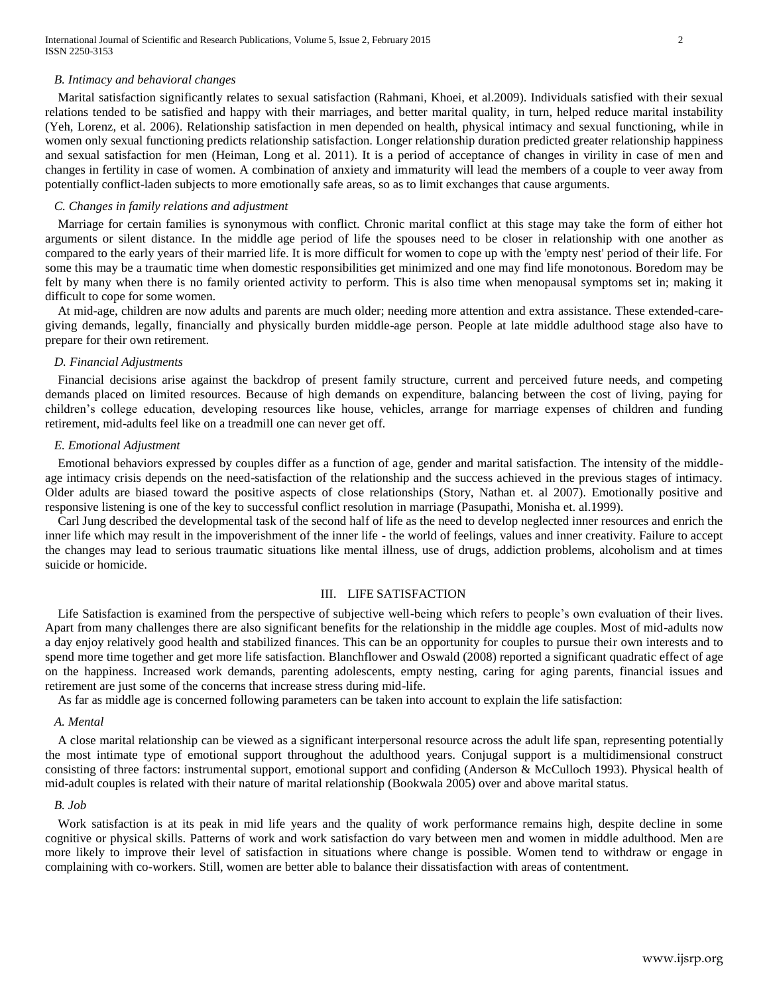#### *B. Intimacy and behavioral changes*

 Marital satisfaction significantly relates to sexual satisfaction (Rahmani, Khoei, et al.2009). Individuals satisfied with their sexual relations tended to be satisfied and happy with their marriages, and better marital quality, in turn, helped reduce marital instability (Yeh, Lorenz, et al. 2006). Relationship satisfaction in men depended on health, physical intimacy and sexual functioning, while in women only sexual functioning predicts relationship satisfaction. Longer relationship duration predicted greater relationship happiness and sexual satisfaction for men (Heiman, Long et al. 2011). It is a period of acceptance of changes in virility in case of men and changes in fertility in case of women. A combination of anxiety and immaturity will lead the members of a couple to veer away from potentially conflict-laden subjects to more emotionally safe areas, so as to limit exchanges that cause arguments.

### *C. Changes in family relations and adjustment*

 Marriage for certain families is synonymous with conflict. Chronic marital conflict at this stage may take the form of either hot arguments or silent distance. In the middle age period of life the spouses need to be closer in relationship with one another as compared to the early years of their married life. It is more difficult for women to cope up with the 'empty nest' period of their life. For some this may be a traumatic time when domestic responsibilities get minimized and one may find life monotonous. Boredom may be felt by many when there is no family oriented activity to perform. This is also time when menopausal symptoms set in; making it difficult to cope for some women.

 At mid-age, children are now adults and parents are much older; needing more attention and extra assistance. These extended-caregiving demands, legally, financially and physically burden middle-age person. People at late middle adulthood stage also have to prepare for their own retirement.

#### *D. Financial Adjustments*

 Financial decisions arise against the backdrop of present family structure, current and perceived future needs, and competing demands placed on limited resources. Because of high demands on expenditure, balancing between the cost of living, paying for children's college education, developing resources like house, vehicles, arrange for marriage expenses of children and funding retirement, mid-adults feel like on a treadmill one can never get off.

#### *E. Emotional Adjustment*

 Emotional behaviors expressed by couples differ as a function of age, gender and marital satisfaction. The intensity of the middleage intimacy crisis depends on the need-satisfaction of the relationship and the success achieved in the previous stages of intimacy. Older adults are biased toward the positive aspects of close relationships (Story, Nathan et. al 2007). Emotionally positive and responsive listening is one of the key to successful conflict resolution in marriage (Pasupathi, Monisha et. al.1999).

 Carl Jung described the developmental task of the second half of life as the need to develop neglected inner resources and enrich the inner life which may result in the impoverishment of the inner life - the world of feelings, values and inner creativity. Failure to accept the changes may lead to serious traumatic situations like mental illness, use of drugs, addiction problems, alcoholism and at times suicide or homicide.

#### III. LIFE SATISFACTION

 Life Satisfaction is examined from the perspective of subjective well-being which refers to people's own evaluation of their lives. Apart from many challenges there are also significant benefits for the relationship in the middle age couples. Most of mid-adults now a day enjoy relatively good health and stabilized finances. This can be an opportunity for couples to pursue their own interests and to spend more time together and get more life satisfaction. Blanchflower and Oswald (2008) reported a significant quadratic effect of age on the happiness. Increased work demands, parenting adolescents, empty nesting, caring for aging parents, financial issues and retirement are just some of the concerns that increase stress during mid-life.

As far as middle age is concerned following parameters can be taken into account to explain the life satisfaction:

#### *A. Mental*

 A close marital relationship can be viewed as a significant interpersonal resource across the adult life span, representing potentially the most intimate type of emotional support throughout the adulthood years. Conjugal support is a multidimensional construct consisting of three factors: instrumental support, emotional support and confiding (Anderson & McCulloch 1993). Physical health of mid-adult couples is related with their nature of marital relationship (Bookwala 2005) over and above marital status.

#### *B. Job*

 Work satisfaction is at its peak in mid life years and the quality of work performance remains high, despite decline in some cognitive or physical skills. Patterns of work and work satisfaction do vary between men and women in middle adulthood. Men are more likely to improve their level of satisfaction in situations where change is possible. Women tend to withdraw or engage in complaining with co-workers. Still, women are better able to balance their dissatisfaction with areas of contentment.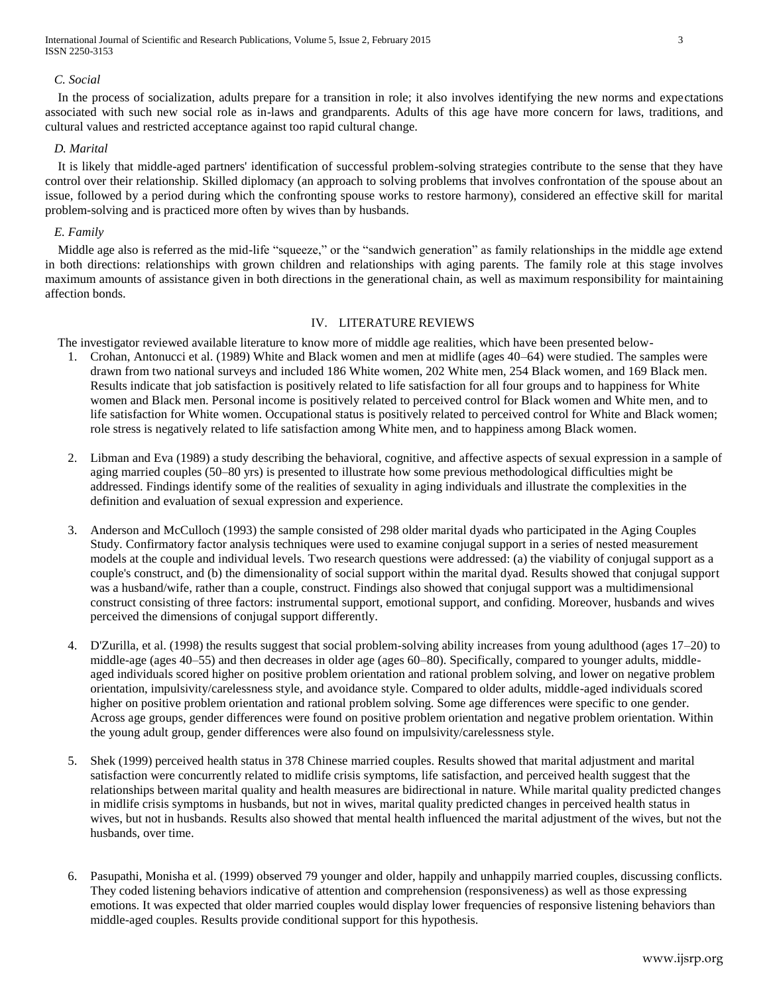International Journal of Scientific and Research Publications, Volume 5, Issue 2, February 2015 3 ISSN 2250-3153

#### *C. Social*

 In the process of socialization, adults prepare for a transition in role; it also involves identifying the new norms and expectations associated with such new social role as in-laws and grandparents. Adults of this age have more concern for laws, traditions, and cultural values and restricted acceptance against too rapid cultural change.

#### *D. Marital*

 It is likely that middle-aged partners' identification of successful problem-solving strategies contribute to the sense that they have control over their relationship. Skilled diplomacy (an approach to solving problems that involves confrontation of the spouse about an issue, followed by a period during which the confronting spouse works to restore harmony), considered an effective skill for marital problem-solving and is practiced more often by wives than by husbands.

#### *E. Family*

 Middle age also is referred as the mid-life "squeeze," or the "sandwich generation" as family relationships in the middle age extend in both directions: relationships with grown children and relationships with aging parents. The family role at this stage involves maximum amounts of assistance given in both directions in the generational chain, as well as maximum responsibility for maintaining affection bonds.

## IV. LITERATURE REVIEWS

The investigator reviewed available literature to know more of middle age realities, which have been presented below-

- 1. Crohan, Antonucci et al. (1989) White and Black women and men at midlife (ages 40–64) were studied. The samples were drawn from two national surveys and included 186 White women, 202 White men, 254 Black women, and 169 Black men. Results indicate that job satisfaction is positively related to life satisfaction for all four groups and to happiness for White women and Black men. Personal income is positively related to perceived control for Black women and White men, and to life satisfaction for White women. Occupational status is positively related to perceived control for White and Black women; role stress is negatively related to life satisfaction among White men, and to happiness among Black women.
- 2. Libman and Eva (1989) a study describing the behavioral, cognitive, and affective aspects of sexual expression in a sample of aging married couples (50–80 yrs) is presented to illustrate how some previous methodological difficulties might be addressed. Findings identify some of the realities of sexuality in aging individuals and illustrate the complexities in the definition and evaluation of sexual expression and experience.
- 3. Anderson and McCulloch (1993) the sample consisted of 298 older marital dyads who participated in the Aging Couples Study. Confirmatory factor analysis techniques were used to examine conjugal support in a series of nested measurement models at the couple and individual levels. Two research questions were addressed: (a) the viability of conjugal support as a couple's construct, and (b) the dimensionality of social support within the marital dyad. Results showed that conjugal support was a husband/wife, rather than a couple, construct. Findings also showed that conjugal support was a multidimensional construct consisting of three factors: instrumental support, emotional support, and confiding. Moreover, husbands and wives perceived the dimensions of conjugal support differently.
- 4. D'Zurilla, et al. (1998) the results suggest that social problem-solving ability increases from young adulthood (ages 17–20) to middle-age (ages 40–55) and then decreases in older age (ages 60–80). Specifically, compared to younger adults, middleaged individuals scored higher on positive problem orientation and rational problem solving, and lower on negative problem orientation, impulsivity/carelessness style, and avoidance style. Compared to older adults, middle-aged individuals scored higher on positive problem orientation and rational problem solving. Some age differences were specific to one gender. Across age groups, gender differences were found on positive problem orientation and negative problem orientation. Within the young adult group, gender differences were also found on impulsivity/carelessness style.
- 5. Shek (1999) perceived health status in 378 Chinese married couples. Results showed that marital adjustment and marital satisfaction were concurrently related to midlife crisis symptoms, life satisfaction, and perceived health suggest that the relationships between marital quality and health measures are bidirectional in nature. While marital quality predicted changes in midlife crisis symptoms in husbands, but not in wives, marital quality predicted changes in perceived health status in wives, but not in husbands. Results also showed that mental health influenced the marital adjustment of the wives, but not the husbands, over time.
- 6. Pasupathi, Monisha et al. (1999) observed 79 younger and older, happily and unhappily married couples, discussing conflicts. They coded listening behaviors indicative of attention and comprehension (responsiveness) as well as those expressing emotions. It was expected that older married couples would display lower frequencies of responsive listening behaviors than middle-aged couples. Results provide conditional support for this hypothesis.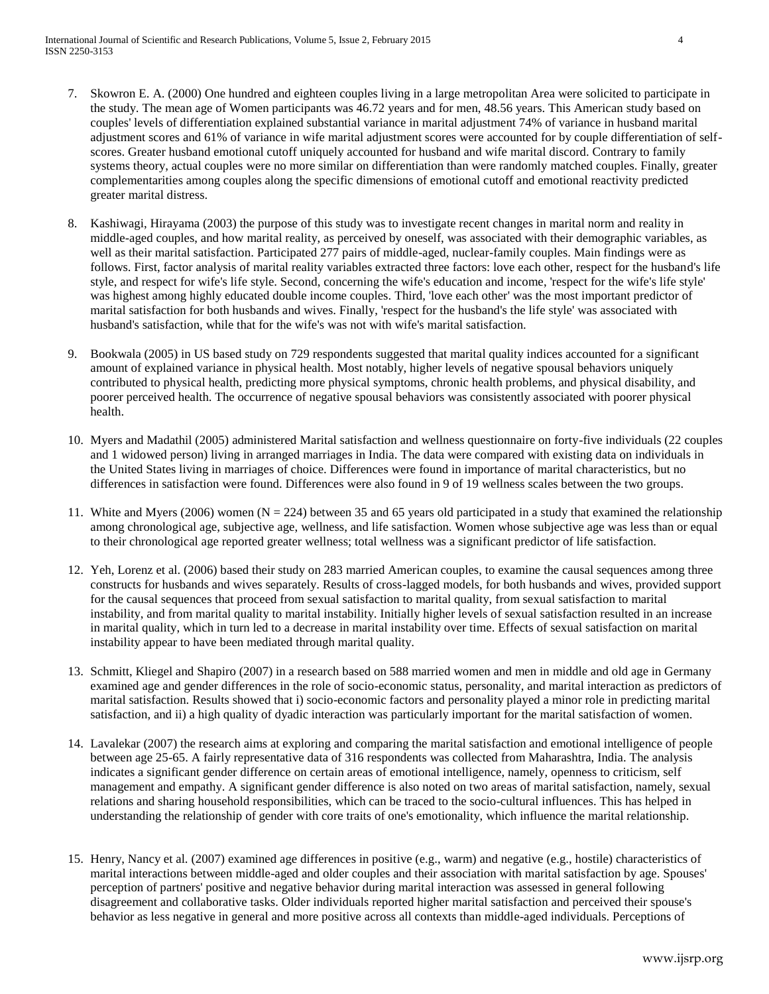- 7. Skowron E. A. (2000) One hundred and eighteen couples living in a large metropolitan Area were solicited to participate in the study. The mean age of Women participants was 46.72 years and for men, 48.56 years. This American study based on couples' levels of differentiation explained substantial variance in marital adjustment 74% of variance in husband marital adjustment scores and 61% of variance in wife marital adjustment scores were accounted for by couple differentiation of selfscores. Greater husband emotional cutoff uniquely accounted for husband and wife marital discord. Contrary to family systems theory, actual couples were no more similar on differentiation than were randomly matched couples. Finally, greater complementarities among couples along the specific dimensions of emotional cutoff and emotional reactivity predicted greater marital distress.
- 8. Kashiwagi, Hirayama (2003) the purpose of this study was to investigate recent changes in marital norm and reality in middle-aged couples, and how marital reality, as perceived by oneself, was associated with their demographic variables, as well as their marital satisfaction. Participated 277 pairs of middle-aged, nuclear-family couples. Main findings were as follows. First, factor analysis of marital reality variables extracted three factors: love each other, respect for the husband's life style, and respect for wife's life style. Second, concerning the wife's education and income, 'respect for the wife's life style' was highest among highly educated double income couples. Third, 'love each other' was the most important predictor of marital satisfaction for both husbands and wives. Finally, 'respect for the husband's the life style' was associated with husband's satisfaction, while that for the wife's was not with wife's marital satisfaction.
- 9. Bookwala (2005) in US based study on 729 respondents suggested that marital quality indices accounted for a significant amount of explained variance in physical health. Most notably, higher levels of negative spousal behaviors uniquely contributed to physical health, predicting more physical symptoms, chronic health problems, and physical disability, and poorer perceived health. The occurrence of negative spousal behaviors was consistently associated with poorer physical health.
- 10. Myers and Madathil (2005) administered Marital satisfaction and wellness questionnaire on forty-five individuals (22 couples and 1 widowed person) living in arranged marriages in India. The data were compared with existing data on individuals in the United States living in marriages of choice. Differences were found in importance of marital characteristics, but no differences in satisfaction were found. Differences were also found in 9 of 19 wellness scales between the two groups.
- 11. White and Myers (2006) women ( $N = 224$ ) between 35 and 65 years old participated in a study that examined the relationship among chronological age, subjective age, wellness, and life satisfaction. Women whose subjective age was less than or equal to their chronological age reported greater wellness; total wellness was a significant predictor of life satisfaction.
- 12. Yeh, Lorenz et al. (2006) based their study on 283 married American couples, to examine the causal sequences among three constructs for husbands and wives separately. Results of cross-lagged models, for both husbands and wives, provided support for the causal sequences that proceed from sexual satisfaction to marital quality, from sexual satisfaction to marital instability, and from marital quality to marital instability. Initially higher levels of sexual satisfaction resulted in an increase in marital quality, which in turn led to a decrease in marital instability over time. Effects of sexual satisfaction on marital instability appear to have been mediated through marital quality.
- 13. Schmitt, Kliegel and Shapiro (2007) in a research based on 588 married women and men in middle and old age in Germany examined age and gender differences in the role of socio-economic status, personality, and marital interaction as predictors of marital satisfaction. Results showed that i) socio-economic factors and personality played a minor role in predicting marital satisfaction, and ii) a high quality of dyadic interaction was particularly important for the marital satisfaction of women.
- 14. Lavalekar (2007) the research aims at exploring and comparing the marital satisfaction and emotional intelligence of people between age 25-65. A fairly representative data of 316 respondents was collected from Maharashtra, India. The analysis indicates a significant gender difference on certain areas of emotional intelligence, namely, openness to criticism, self management and empathy. A significant gender difference is also noted on two areas of marital satisfaction, namely, sexual relations and sharing household responsibilities, which can be traced to the socio-cultural influences. This has helped in understanding the relationship of gender with core traits of one's emotionality, which influence the marital relationship.
- 15. Henry, Nancy et al. (2007) examined age differences in positive (e.g., warm) and negative (e.g., hostile) characteristics of marital interactions between middle-aged and older couples and their association with marital satisfaction by age. Spouses' perception of partners' positive and negative behavior during marital interaction was assessed in general following disagreement and collaborative tasks. Older individuals reported higher marital satisfaction and perceived their spouse's behavior as less negative in general and more positive across all contexts than middle-aged individuals. Perceptions of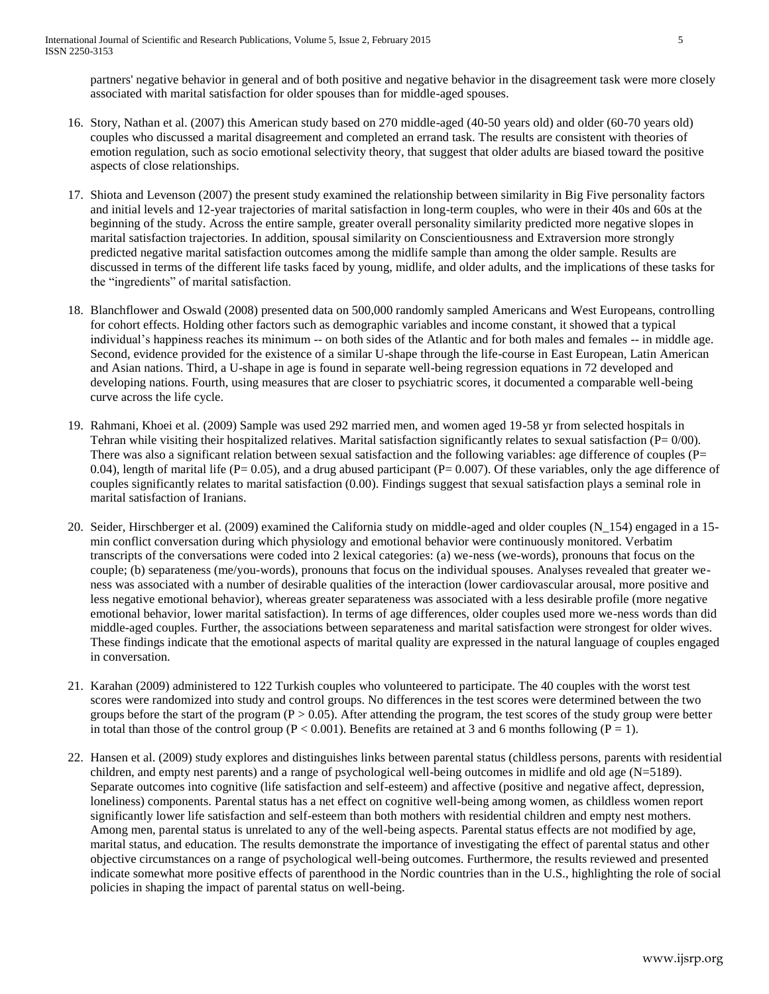partners' negative behavior in general and of both positive and negative behavior in the disagreement task were more closely associated with marital satisfaction for older spouses than for middle-aged spouses.

- 16. Story, Nathan et al. (2007) this American study based on 270 middle-aged (40-50 years old) and older (60-70 years old) couples who discussed a marital disagreement and completed an errand task. The results are consistent with theories of emotion regulation, such as socio emotional selectivity theory, that suggest that older adults are biased toward the positive aspects of close relationships.
- 17. Shiota and Levenson (2007) the present study examined the relationship between similarity in Big Five personality factors and initial levels and 12-year trajectories of marital satisfaction in long-term couples, who were in their 40s and 60s at the beginning of the study. Across the entire sample, greater overall personality similarity predicted more negative slopes in marital satisfaction trajectories. In addition, spousal similarity on Conscientiousness and Extraversion more strongly predicted negative marital satisfaction outcomes among the midlife sample than among the older sample. Results are discussed in terms of the different life tasks faced by young, midlife, and older adults, and the implications of these tasks for the "ingredients" of marital satisfaction.
- 18. Blanchflower and Oswald (2008) presented data on 500,000 randomly sampled Americans and West Europeans, controlling for cohort effects. Holding other factors such as demographic variables and income constant, it showed that a typical individual's happiness reaches its minimum -- on both sides of the Atlantic and for both males and females -- in middle age. Second, evidence provided for the existence of a similar U-shape through the life-course in East European, Latin American and Asian nations. Third, a U-shape in age is found in separate well-being regression equations in 72 developed and developing nations. Fourth, using measures that are closer to psychiatric scores, it documented a comparable well-being curve across the life cycle.
- 19. Rahmani, Khoei et al. (2009) Sample was used 292 married men, and women aged 19-58 yr from selected hospitals in Tehran while visiting their hospitalized relatives. Marital satisfaction significantly relates to sexual satisfaction ( $P= 0/00$ ). There was also a significant relation between sexual satisfaction and the following variables: age difference of couples  $(P=$ 0.04), length of marital life ( $P= 0.05$ ), and a drug abused participant ( $P= 0.007$ ). Of these variables, only the age difference of couples significantly relates to marital satisfaction (0.00). Findings suggest that sexual satisfaction plays a seminal role in marital satisfaction of Iranians.
- 20. Seider, Hirschberger et al. (2009) examined the California study on middle-aged and older couples (N\_154) engaged in a 15 min conflict conversation during which physiology and emotional behavior were continuously monitored. Verbatim transcripts of the conversations were coded into 2 lexical categories: (a) we-ness (we-words), pronouns that focus on the couple; (b) separateness (me/you-words), pronouns that focus on the individual spouses. Analyses revealed that greater weness was associated with a number of desirable qualities of the interaction (lower cardiovascular arousal, more positive and less negative emotional behavior), whereas greater separateness was associated with a less desirable profile (more negative emotional behavior, lower marital satisfaction). In terms of age differences, older couples used more we-ness words than did middle-aged couples. Further, the associations between separateness and marital satisfaction were strongest for older wives. These findings indicate that the emotional aspects of marital quality are expressed in the natural language of couples engaged in conversation.
- 21. Karahan (2009) administered to 122 Turkish couples who volunteered to participate. The 40 couples with the worst test scores were randomized into study and control groups. No differences in the test scores were determined between the two groups before the start of the program ( $P > 0.05$ ). After attending the program, the test scores of the study group were better in total than those of the control group ( $P < 0.001$ ). Benefits are retained at 3 and 6 months following ( $P = 1$ ).
- 22. Hansen et al. (2009) study explores and distinguishes links between parental status (childless persons, parents with residential children, and empty nest parents) and a range of psychological well-being outcomes in midlife and old age (N=5189). Separate outcomes into cognitive (life satisfaction and self-esteem) and affective (positive and negative affect, depression, loneliness) components. Parental status has a net effect on cognitive well-being among women, as childless women report significantly lower life satisfaction and self-esteem than both mothers with residential children and empty nest mothers. Among men, parental status is unrelated to any of the well-being aspects. Parental status effects are not modified by age, marital status, and education. The results demonstrate the importance of investigating the effect of parental status and other objective circumstances on a range of psychological well-being outcomes. Furthermore, the results reviewed and presented indicate somewhat more positive effects of parenthood in the Nordic countries than in the U.S., highlighting the role of social policies in shaping the impact of parental status on well-being.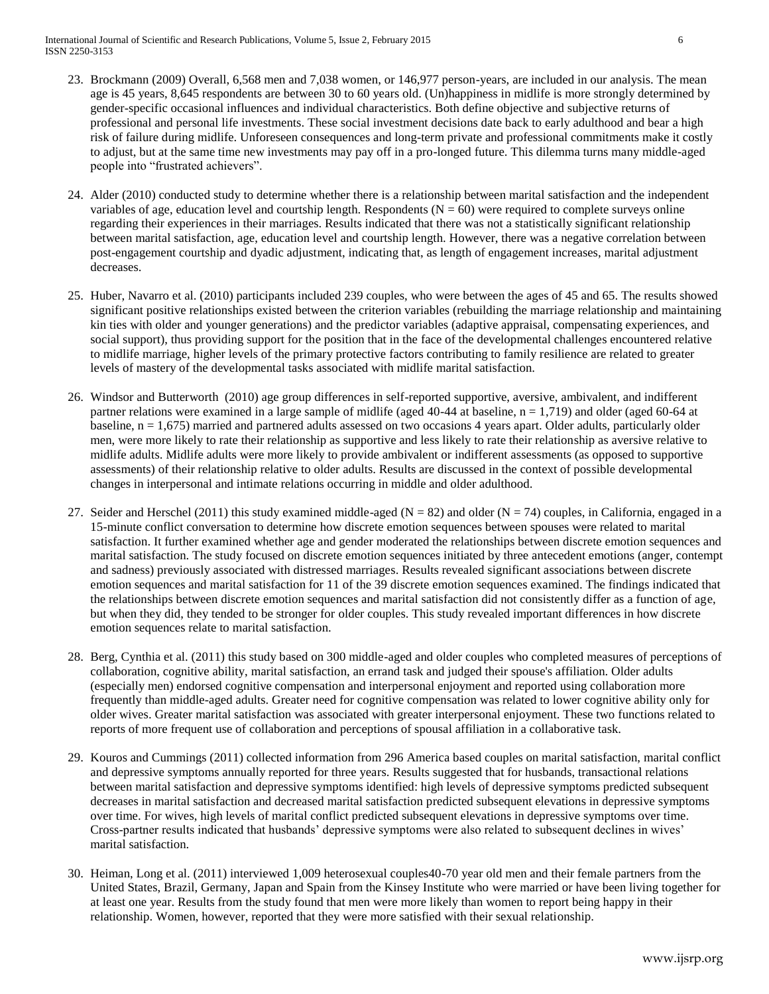International Journal of Scientific and Research Publications, Volume 5, Issue 2, February 2015 6 ISSN 2250-3153

- 23. Brockmann (2009) Overall, 6,568 men and 7,038 women, or 146,977 person-years, are included in our analysis. The mean age is 45 years, 8,645 respondents are between 30 to 60 years old. (Un)happiness in midlife is more strongly determined by gender-specific occasional influences and individual characteristics. Both define objective and subjective returns of professional and personal life investments. These social investment decisions date back to early adulthood and bear a high risk of failure during midlife. Unforeseen consequences and long-term private and professional commitments make it costly to adjust, but at the same time new investments may pay off in a pro-longed future. This dilemma turns many middle-aged people into "frustrated achievers".
- 24. Alder (2010) conducted study to determine whether there is a relationship between marital satisfaction and the independent variables of age, education level and courtship length. Respondents  $(N = 60)$  were required to complete surveys online regarding their experiences in their marriages. Results indicated that there was not a statistically significant relationship between marital satisfaction, age, education level and courtship length. However, there was a negative correlation between post-engagement courtship and dyadic adjustment, indicating that, as length of engagement increases, marital adjustment decreases.
- 25. Huber, Navarro et al. (2010) participants included 239 couples, who were between the ages of 45 and 65. The results showed significant positive relationships existed between the criterion variables (rebuilding the marriage relationship and maintaining kin ties with older and younger generations) and the predictor variables (adaptive appraisal, compensating experiences, and social support), thus providing support for the position that in the face of the developmental challenges encountered relative to midlife marriage, higher levels of the primary protective factors contributing to family resilience are related to greater levels of mastery of the developmental tasks associated with midlife marital satisfaction.
- 26. Windsor and Butterworth (2010) age group differences in self-reported supportive, aversive, ambivalent, and indifferent partner relations were examined in a large sample of midlife (aged 40-44 at baseline, n = 1,719) and older (aged 60-64 at baseline, n = 1,675) married and partnered adults assessed on two occasions 4 years apart. Older adults, particularly older men, were more likely to rate their relationship as supportive and less likely to rate their relationship as aversive relative to midlife adults. Midlife adults were more likely to provide ambivalent or indifferent assessments (as opposed to supportive assessments) of their relationship relative to older adults. Results are discussed in the context of possible developmental changes in interpersonal and intimate relations occurring in middle and older adulthood.
- 27. Seider and Herschel (2011) this study examined middle-aged ( $N = 82$ ) and older ( $N = 74$ ) couples, in California, engaged in a 15-minute conflict conversation to determine how discrete emotion sequences between spouses were related to marital satisfaction. It further examined whether age and gender moderated the relationships between discrete emotion sequences and marital satisfaction. The study focused on discrete emotion sequences initiated by three antecedent emotions (anger, contempt and sadness) previously associated with distressed marriages. Results revealed significant associations between discrete emotion sequences and marital satisfaction for 11 of the 39 discrete emotion sequences examined. The findings indicated that the relationships between discrete emotion sequences and marital satisfaction did not consistently differ as a function of age, but when they did, they tended to be stronger for older couples. This study revealed important differences in how discrete emotion sequences relate to marital satisfaction.
- 28. Berg, Cynthia et al. (2011) this study based on 300 middle-aged and older couples who completed measures of perceptions of collaboration, cognitive ability, marital satisfaction, an errand task and judged their spouse's affiliation. Older adults (especially men) endorsed cognitive compensation and interpersonal enjoyment and reported using collaboration more frequently than middle-aged adults. Greater need for cognitive compensation was related to lower cognitive ability only for older wives. Greater marital satisfaction was associated with greater interpersonal enjoyment. These two functions related to reports of more frequent use of collaboration and perceptions of spousal affiliation in a collaborative task.
- 29. Kouros and Cummings (2011) collected information from 296 America based couples on marital satisfaction, marital conflict and depressive symptoms annually reported for three years. Results suggested that for husbands, transactional relations between marital satisfaction and depressive symptoms identified: high levels of depressive symptoms predicted subsequent decreases in marital satisfaction and decreased marital satisfaction predicted subsequent elevations in depressive symptoms over time. For wives, high levels of marital conflict predicted subsequent elevations in depressive symptoms over time. Cross-partner results indicated that husbands' depressive symptoms were also related to subsequent declines in wives' marital satisfaction.
- 30. Heiman, Long et al. (2011) interviewed 1,009 heterosexual couples40-70 year old men and their female partners from the United States, Brazil, Germany, Japan and Spain from the Kinsey Institute who were married or have been living together for at least one year. Results from the study found that men were more likely than women to report being happy in their relationship. Women, however, reported that they were more satisfied with their sexual relationship.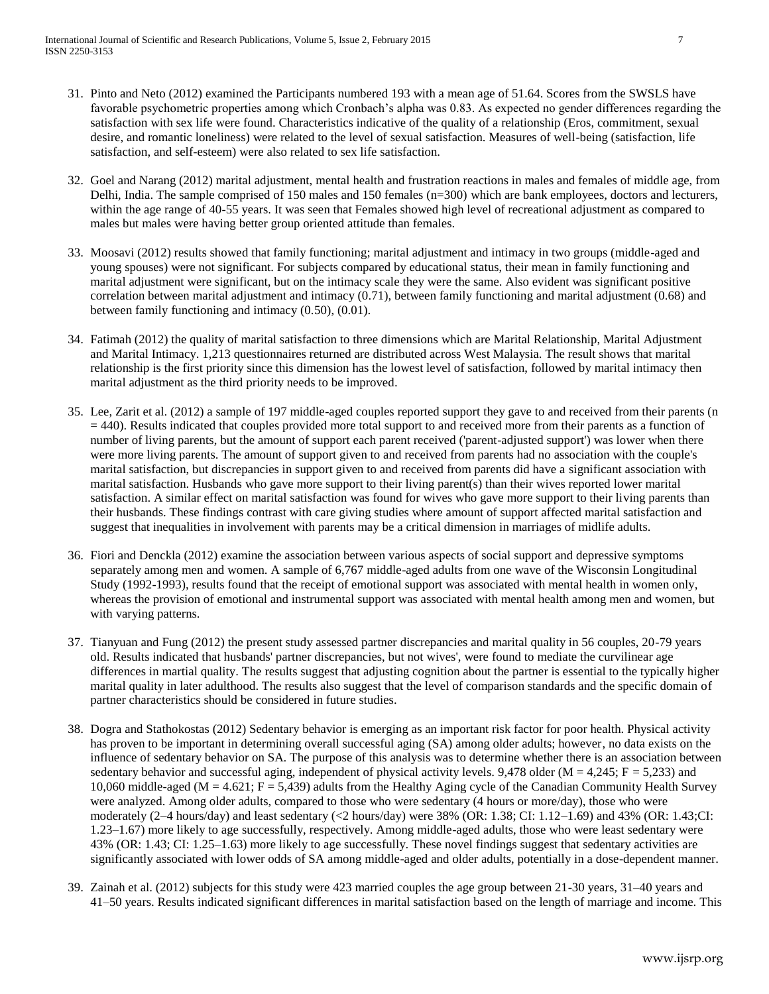- 31. Pinto and Neto (2012) examined the Participants numbered 193 with a mean age of 51.64. Scores from the SWSLS have favorable psychometric properties among which Cronbach's alpha was 0.83. As expected no gender differences regarding the satisfaction with sex life were found. Characteristics indicative of the quality of a relationship (Eros, commitment, sexual desire, and romantic loneliness) were related to the level of sexual satisfaction. Measures of well-being (satisfaction, life satisfaction, and self-esteem) were also related to sex life satisfaction.
- 32. Goel and Narang (2012) marital adjustment, mental health and frustration reactions in males and females of middle age, from Delhi, India. The sample comprised of 150 males and 150 females (n=300) which are bank employees, doctors and lecturers, within the age range of 40-55 years. It was seen that Females showed high level of recreational adjustment as compared to males but males were having better group oriented attitude than females.
- 33. Moosavi (2012) results showed that family functioning; marital adjustment and intimacy in two groups (middle-aged and young spouses) were not significant. For subjects compared by educational status, their mean in family functioning and marital adjustment were significant, but on the intimacy scale they were the same. Also evident was significant positive correlation between marital adjustment and intimacy (0.71), between family functioning and marital adjustment (0.68) and between family functioning and intimacy (0.50), (0.01).
- 34. Fatimah (2012) the quality of marital satisfaction to three dimensions which are Marital Relationship, Marital Adjustment and Marital Intimacy. 1,213 questionnaires returned are distributed across West Malaysia. The result shows that marital relationship is the first priority since this dimension has the lowest level of satisfaction, followed by marital intimacy then marital adjustment as the third priority needs to be improved.
- 35. Lee, Zarit et al. (2012) a sample of 197 middle-aged couples reported support they gave to and received from their parents (n = 440). Results indicated that couples provided more total support to and received more from their parents as a function of number of living parents, but the amount of support each parent received ('parent-adjusted support') was lower when there were more living parents. The amount of support given to and received from parents had no association with the couple's marital satisfaction, but discrepancies in support given to and received from parents did have a significant association with marital satisfaction. Husbands who gave more support to their living parent(s) than their wives reported lower marital satisfaction. A similar effect on marital satisfaction was found for wives who gave more support to their living parents than their husbands. These findings contrast with care giving studies where amount of support affected marital satisfaction and suggest that inequalities in involvement with parents may be a critical dimension in marriages of midlife adults.
- 36. Fiori and Denckla (2012) examine the association between various aspects of social support and depressive symptoms separately among men and women. A sample of 6,767 middle-aged adults from one wave of the Wisconsin Longitudinal Study (1992-1993), results found that the receipt of emotional support was associated with mental health in women only, whereas the provision of emotional and instrumental support was associated with mental health among men and women, but with varying patterns.
- 37. Tianyuan and Fung (2012) the present study assessed partner discrepancies and marital quality in 56 couples, 20-79 years old. Results indicated that husbands' partner discrepancies, but not wives', were found to mediate the curvilinear age differences in martial quality. The results suggest that adjusting cognition about the partner is essential to the typically higher marital quality in later adulthood. The results also suggest that the level of comparison standards and the specific domain of partner characteristics should be considered in future studies.
- 38. Dogra and Stathokostas (2012) Sedentary behavior is emerging as an important risk factor for poor health. Physical activity has proven to be important in determining overall successful aging (SA) among older adults; however, no data exists on the influence of sedentary behavior on SA. The purpose of this analysis was to determine whether there is an association between sedentary behavior and successful aging, independent of physical activity levels. 9,478 older ( $M = 4,245$ ;  $F = 5,233$ ) and 10,060 middle-aged ( $M = 4.621$ ;  $F = 5,439$ ) adults from the Healthy Aging cycle of the Canadian Community Health Survey were analyzed. Among older adults, compared to those who were sedentary (4 hours or more/day), those who were moderately (2–4 hours/day) and least sedentary (<2 hours/day) were 38% (OR: 1.38; CI: 1.12–1.69) and 43% (OR: 1.43;CI: 1.23–1.67) more likely to age successfully, respectively. Among middle-aged adults, those who were least sedentary were 43% (OR: 1.43; CI: 1.25–1.63) more likely to age successfully. These novel findings suggest that sedentary activities are significantly associated with lower odds of SA among middle-aged and older adults, potentially in a dose-dependent manner.
- 39. Zainah et al. (2012) subjects for this study were 423 married couples the age group between 21-30 years, 31–40 years and 41–50 years. Results indicated significant differences in marital satisfaction based on the length of marriage and income. This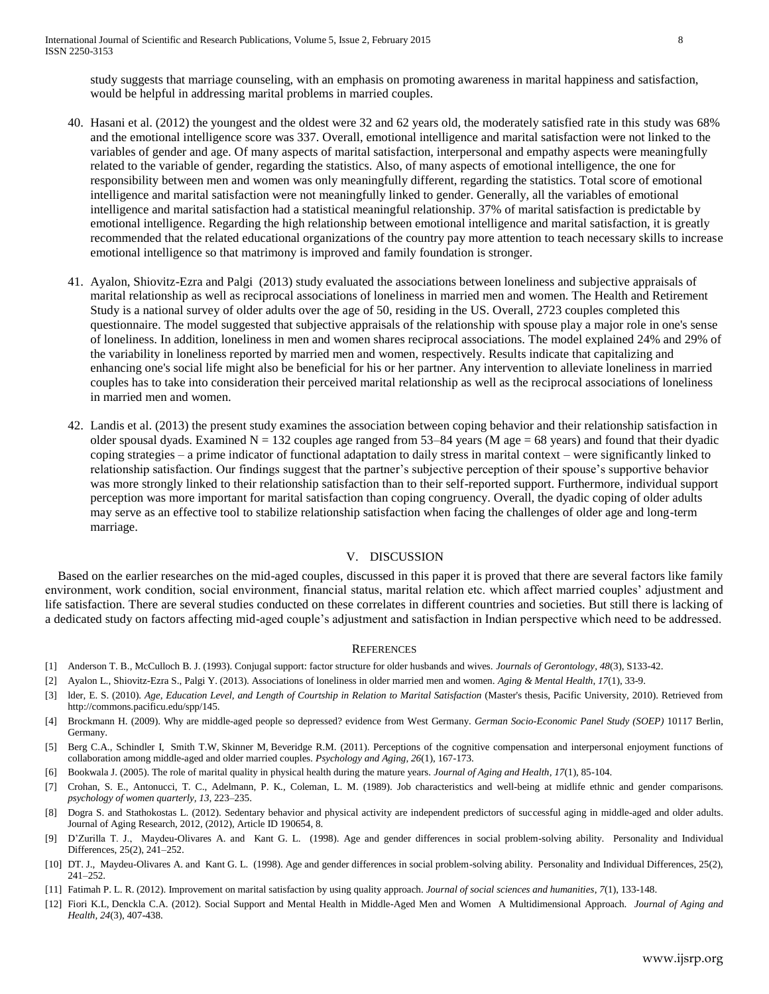study suggests that marriage counseling, with an emphasis on promoting awareness in marital happiness and satisfaction, would be helpful in addressing marital problems in married couples.

- 40. Hasani et al. (2012) the youngest and the oldest were 32 and 62 years old, the moderately satisfied rate in this study was 68% and the emotional intelligence score was 337. Overall, emotional intelligence and marital satisfaction were not linked to the variables of gender and age. Of many aspects of marital satisfaction, interpersonal and empathy aspects were meaningfully related to the variable of gender, regarding the statistics. Also, of many aspects of emotional intelligence, the one for responsibility between men and women was only meaningfully different, regarding the statistics. Total score of emotional intelligence and marital satisfaction were not meaningfully linked to gender. Generally, all the variables of emotional intelligence and marital satisfaction had a statistical meaningful relationship. 37% of marital satisfaction is predictable by emotional intelligence. Regarding the high relationship between emotional intelligence and marital satisfaction, it is greatly recommended that the related educational organizations of the country pay more attention to teach necessary skills to increase emotional intelligence so that matrimony is improved and family foundation is stronger.
- 41. Ayalon, Shiovitz-Ezra and Palgi (2013) study evaluated the associations between loneliness and subjective appraisals of marital relationship as well as reciprocal associations of loneliness in married men and women. The Health and Retirement Study is a national survey of older adults over the age of 50, residing in the US. Overall, 2723 couples completed this questionnaire. The model suggested that subjective appraisals of the relationship with spouse play a major role in one's sense of loneliness. In addition, loneliness in men and women shares reciprocal associations. The model explained 24% and 29% of the variability in loneliness reported by married men and women, respectively. Results indicate that capitalizing and enhancing one's social life might also be beneficial for his or her partner. Any intervention to alleviate loneliness in married couples has to take into consideration their perceived marital relationship as well as the reciprocal associations of loneliness in married men and women.
- 42. Landis et al. (2013) the present study examines the association between coping behavior and their relationship satisfaction in older spousal dyads. Examined  $N = 132$  couples age ranged from 53–84 years (M age = 68 years) and found that their dyadic coping strategies – a prime indicator of functional adaptation to daily stress in marital context – were significantly linked to relationship satisfaction. Our findings suggest that the partner's subjective perception of their spouse's supportive behavior was more strongly linked to their relationship satisfaction than to their self-reported support. Furthermore, individual support perception was more important for marital satisfaction than coping congruency. Overall, the dyadic coping of older adults may serve as an effective tool to stabilize relationship satisfaction when facing the challenges of older age and long-term marriage.

#### V. DISCUSSION

 Based on the earlier researches on the mid-aged couples, discussed in this paper it is proved that there are several factors like family environment, work condition, social environment, financial status, marital relation etc. which affect married couples' adjustment and life satisfaction. There are several studies conducted on these correlates in different countries and societies. But still there is lacking of a dedicated study on factors affecting mid-aged couple's adjustment and satisfaction in Indian perspective which need to be addressed.

#### **REFERENCES**

- [1] Anderson T. B., McCulloch B. J. (1993). Conjugal support: factor structure for older husbands and wives. *Journals of Gerontology, 48*(3), S133-42.
- [2] Ayalon L., [Shiovitz-Ezra S.,](http://www.ncbi.nlm.nih.gov/pubmed?term=Shiovitz-Ezra%20S%5BAuthor%5D&cauthor=true&cauthor_uid=22788950) [Palgi Y.](http://www.ncbi.nlm.nih.gov/pubmed?term=Palgi%20Y%5BAuthor%5D&cauthor=true&cauthor_uid=22788950) (2013). Associations of loneliness in older married men and women. *[Aging & Mental Health](http://www.routledgementalhealth.com/journals/details/1360-7863/)*, *17*(1), 33-9.
- [3] lder, E. S. (2010). *Age, Education Level, and Length of Courtship in Relation to Marital Satisfaction* (Master's thesis, Pacific University, 2010). Retrieved from [http://commons.pacificu.edu/spp/145.](http://commons.pacificu.edu/spp/145)
- [4] Brockmann H. (2009). Why are middle-aged people so depressed? evidence from West Germany. *German Socio-Economic Panel Study (SOEP)* 10117 Berlin, Germany.
- [5] Berg C.A., Schindler I, [Smith T.W,](http://www.ncbi.nlm.nih.gov/pubmed?term=Smith%20TW%5BAuthor%5D&cauthor=true&cauthor_uid=20973607) [Skinner M,](http://www.ncbi.nlm.nih.gov/pubmed?term=Skinner%20M%5BAuthor%5D&cauthor=true&cauthor_uid=20973607) [Beveridge R.M.](http://www.ncbi.nlm.nih.gov/pubmed?term=Beveridge%20RM%5BAuthor%5D&cauthor=true&cauthor_uid=20973607) (2011). Perceptions of the cognitive compensation and interpersonal enjoyment functions of collaboration among middle-aged and older married couples*[. Psychology and Aging,](http://www.apa.org/journals/pag.html) 26*(1), 167-173.
- [6] Bookwala J. (2005). The role of marital quality in physical health during the mature years. *[Journal of Aging and Health,](http://jah.sagepub.com/) 17*(1), 85-104.
- [7] Crohan, S. E., [Antonucci,](http://pwq.sagepub.com/search?author1=Toni+C.+Antonucci&sortspec=date&submit=Submit) T. C., [Adelmann,](http://pwq.sagepub.com/search?author1=Pamela+K.+Adelmann&sortspec=date&submit=Submit) P. K., [Coleman,](http://pwq.sagepub.com/search?author1=Lerita+M.+Coleman&sortspec=date&submit=Submit) L. M. (1989). Job characteristics and well-being at midlife ethnic and gender comparisons. *psychology of women quarterly, 13,* 223–235.
- [8] Dogra S. and Stathokostas L. (2012). Sedentary behavior and physical activity are independent predictors of successful aging in middle-aged and older adults. Journal of Aging Research, 2012, (2012), Article ID 190654, 8.
- [9] D'Zurilla T. J., Maydeu-Olivares A. and Kant G. L. (1998). Age and gender differences in social problem-solving ability. Personality and Individual Differences, 25(2), 241–252.
- [10] DT. J., Maydeu-Olivares A. and Kant G. L. (1998). Age and gender differences in social problem-solving ability. Personality and Individual Differences, 25(2), 241–252.
- [11] Fatimah P. L. R. (2012). Improvement on marital satisfaction by using quality approach. *Journal of social sciences and humanities*, *7*(1), 133-148.
- [12] [Fiori K.L,](http://www.ncbi.nlm.nih.gov/pubmed?term=Fiori%20KL%5BAuthor%5D&cauthor=true&cauthor_uid=22396474) [Denckla C.A.](http://www.ncbi.nlm.nih.gov/pubmed?term=Denckla%20CA%5BAuthor%5D&cauthor=true&cauthor_uid=22396474) (2012). Social Support and Mental Health in Middle-Aged Men and Women A Multidimensional Approach. *[Journal of Aging and](http://jah.sagepub.com/)  [Health,](http://jah.sagepub.com/) 24*(3), 407-438.